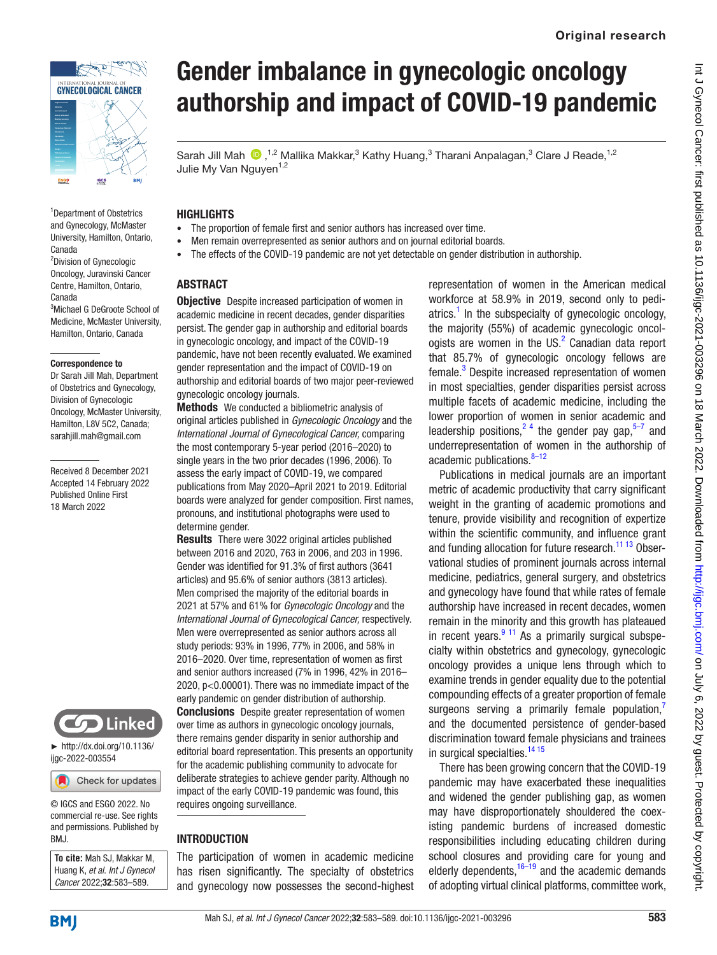

<sup>1</sup>Department of Obstetrics and Gynecology, McMaster University, Hamilton, Ontario, Canada

<sup>2</sup>Division of Gynecologic Oncology, Juravinski Cancer Centre, Hamilton, Ontario, Canada

3 Michael G DeGroote School of Medicine, McMaster University, Hamilton, Ontario, Canada

#### Correspondence to

Dr Sarah Jill Mah, Department of Obstetrics and Gynecology, Division of Gynecologic Oncology, McMaster University, Hamilton, L8V 5C2, Canada; sarahjill.mah@gmail.com

Received 8 December 2021 Accepted 14 February 2022 Published Online First 18 March 2022



► [http://dx.doi.org/10.1136/](http://dx.doi.org/10.1136/ijgc-2022-003554) [ijgc-2022-003554](http://dx.doi.org/10.1136/ijgc-2022-003554)

Check for updates

© IGCS and ESGO 2022. No commercial re-use. See rights and permissions. Published by BMJ.

**To cite:** Mah SJ, Makkar M, Huang K, *et al*. *Int J Gynecol Cancer* 2022;32:583–589.

# Gender imbalance in gynecologic oncology authorship and impact of COVID-19 pandemic

Sarah Jill Mah  $\bigcirc$ , <sup>1,2</sup> Mallika Makkar,<sup>3</sup> Kathy Huang,<sup>3</sup> Tharani Anpalagan,<sup>3</sup> Clare J Reade, <sup>1,2</sup> Julie My Van Nguyen<sup>1,2</sup>

#### **HIGHLIGHTS**

- The proportion of female first and senior authors has increased over time.
- Men remain overrepresented as senior authors and on journal editorial boards.
- The effects of the COVID-19 pandemic are not yet detectable on gender distribution in authorship.

#### **ABSTRACT**

**Objective** Despite increased participation of women in academic medicine in recent decades, gender disparities persist. The gender gap in authorship and editorial boards in gynecologic oncology, and impact of the COVID-19 pandemic, have not been recently evaluated. We examined gender representation and the impact of COVID-19 on authorship and editorial boards of two major peer-reviewed gynecologic oncology journals.

Methods We conducted a bibliometric analysis of original articles published in *Gynecologic Oncology* and the *International Journal of Gynecological Cancer,* comparing the most contemporary 5-year period (2016–2020) to single years in the two prior decades (1996, 2006). To assess the early impact of COVID-19, we compared publications from May 2020–April 2021 to 2019. Editorial boards were analyzed for gender composition. First names, pronouns, and institutional photographs were used to determine gender.

Results There were 3022 original articles published between 2016 and 2020, 763 in 2006, and 203 in 1996. Gender was identified for 91.3% of first authors (3641 articles) and 95.6% of senior authors (3813 articles). Men comprised the majority of the editorial boards in 2021 at 57% and 61% for *Gynecologic Oncology* and the *International Journal of Gynecological Cancer,* respectively. Men were overrepresented as senior authors across all study periods: 93% in 1996, 77% in 2006, and 58% in 2016–2020. Over time, representation of women as first and senior authors increased (7% in 1996, 42% in 2016– 2020, p<0.00001). There was no immediate impact of the early pandemic on gender distribution of authorship. **Conclusions** Despite greater representation of women over time as authors in gynecologic oncology journals, there remains gender disparity in senior authorship and editorial board representation. This presents an opportunity for the academic publishing community to advocate for deliberate strategies to achieve gender parity. Although no impact of the early COVID-19 pandemic was found, this requires ongoing surveillance.

#### INTRODUCTION

The participation of women in academic medicine has risen significantly. The specialty of obstetrics and gynecology now possesses the second-highest representation of women in the American medical workforce at 58.9% in 2019, second only to pediatrics.<sup>1</sup> In the subspecialty of gynecologic oncology, the majority (55%) of academic gynecologic oncologists are women in the US.<sup>2</sup> Canadian data report that 85.7% of gynecologic oncology fellows are female.<sup>[3](#page-5-2)</sup> Despite increased representation of women in most specialties, gender disparities persist across multiple facets of academic medicine, including the lower proportion of women in senior academic and leadership positions,<sup>24</sup> the gender pay gap, $5-7$  and underrepresentation of women in the authorship of academic publications. $8-12$ 

Publications in medical journals are an important metric of academic productivity that carry significant weight in the granting of academic promotions and tenure, provide visibility and recognition of expertize within the scientific community, and influence grant and funding allocation for future research.<sup>[11 13](#page-6-1)</sup> Observational studies of prominent journals across internal medicine, pediatrics, general surgery, and obstetrics and gynecology have found that while rates of female authorship have increased in recent decades, women remain in the minority and this growth has plateaued in recent years. $911$  As a primarily surgical subspecialty within obstetrics and gynecology, gynecologic oncology provides a unique lens through which to examine trends in gender equality due to the potential compounding effects of a greater proportion of female surgeons serving a primarily female population, and the documented persistence of gender-based discrimination toward female physicians and trainees in surgical specialties.<sup>[14 15](#page-6-4)</sup>

There has been growing concern that the COVID-19 pandemic may have exacerbated these inequalities and widened the gender publishing gap, as women may have disproportionately shouldered the coexisting pandemic burdens of increased domestic responsibilities including educating children during school closures and providing care for young and elderly dependents,  $16-19$  and the academic demands of adopting virtual clinical platforms, committee work,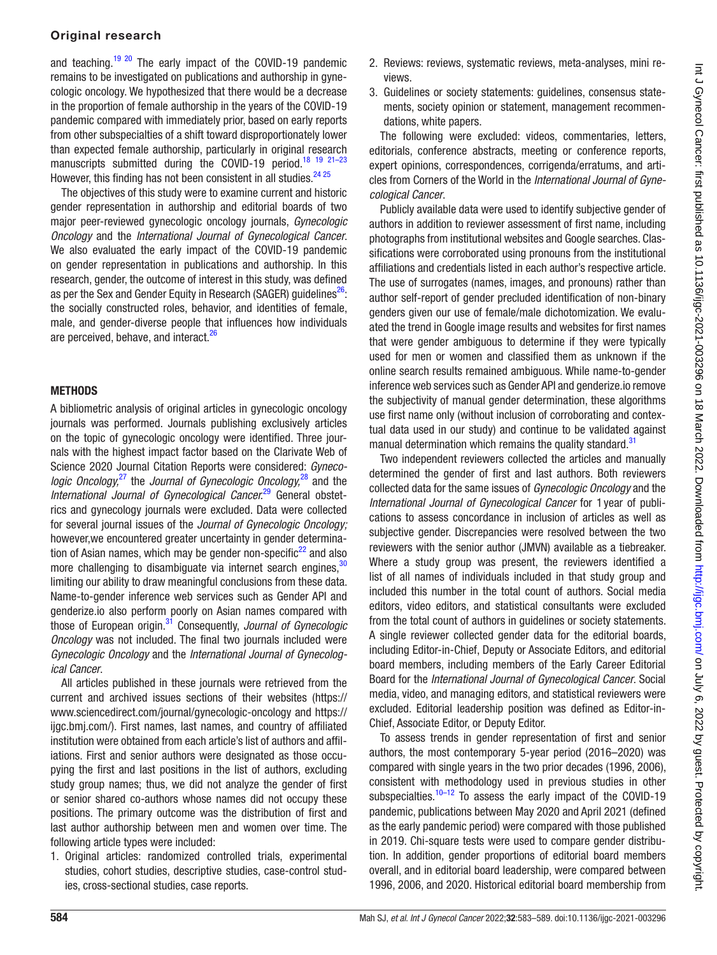#### Original research

and teaching.<sup>19 20</sup> The early impact of the COVID-19 pandemic remains to be investigated on publications and authorship in gynecologic oncology. We hypothesized that there would be a decrease in the proportion of female authorship in the years of the COVID-19 pandemic compared with immediately prior, based on early reports from other subspecialties of a shift toward disproportionately lower than expected female authorship, particularly in original research manuscripts submitted during the COVID-19 period.<sup>18 19 21-23</sup> However, this finding has not been consistent in all studies.<sup>24 25</sup>

The objectives of this study were to examine current and historic gender representation in authorship and editorial boards of two major peer-reviewed gynecologic oncology journals, *Gynecologic Oncology* and the *International Journal of Gynecological Cancer*. We also evaluated the early impact of the COVID-19 pandemic on gender representation in publications and authorship. In this research, gender, the outcome of interest in this study, was defined as per the Sex and Gender Equity in Research (SAGER) quidelines<sup>[26](#page-6-9)</sup>: the socially constructed roles, behavior, and identities of female, male, and gender-diverse people that influences how individuals are perceived, behave, and interact.<sup>[26](#page-6-9)</sup>

#### **METHODS**

A bibliometric analysis of original articles in gynecologic oncology journals was performed. Journals publishing exclusively articles on the topic of gynecologic oncology were identified. Three journals with the highest impact factor based on the Clarivate Web of Science 2020 Journal Citation Reports were considered: *Gynecologic Oncology,*[27](#page-6-10) the *Journal of Gynecologic Oncology,*[28](#page-6-11) and the *International Journal of Gynecological Cancer.*[29](#page-6-12) General obstetrics and gynecology journals were excluded. Data were collected for several journal issues of the *Journal of Gynecologic Oncology;* however,we encountered greater uncertainty in gender determination of Asian names, which may be gender non-specific<sup>22</sup> and also more challenging to disambiguate via internet search engines,  $30$ limiting our ability to draw meaningful conclusions from these data. Name-to-gender inference web services such as Gender API and genderize.io also perform poorly on Asian names compared with those of European origin.[31](#page-6-15) Consequently, *Journal of Gynecologic Oncology* was not included. The final two journals included were *Gynecologic Oncology* and the *International Journal of Gynecological Cancer*.

All articles published in these journals were retrieved from the current and archived issues sections of their websites ([https://](https://www.sciencedirect.com/journal/gynecologic-oncology) [www.sciencedirect.com/journal/gynecologic-oncology](https://www.sciencedirect.com/journal/gynecologic-oncology) and [https://](https://ijgc.bmj.com/) [ijgc.bmj.com/](https://ijgc.bmj.com/)). First names, last names, and country of affiliated institution were obtained from each article's list of authors and affiliations. First and senior authors were designated as those occupying the first and last positions in the list of authors, excluding study group names; thus, we did not analyze the gender of first or senior shared co-authors whose names did not occupy these positions. The primary outcome was the distribution of first and last author authorship between men and women over time. The following article types were included:

1. Original articles: randomized controlled trials, experimental studies, cohort studies, descriptive studies, case-control studies, cross-sectional studies, case reports.

- 2. Reviews: reviews, systematic reviews, meta-analyses, mini reviews.
- 3. Guidelines or society statements: guidelines, consensus statements, society opinion or statement, management recommendations, white papers.

The following were excluded: videos, commentaries, letters, editorials, conference abstracts, meeting or conference reports, expert opinions, correspondences, corrigenda/erratums, and articles from Corners of the World in the *International Journal of Gynecological Cancer*.

Publicly available data were used to identify subjective gender of authors in addition to reviewer assessment of first name, including photographs from institutional websites and Google searches. Classifications were corroborated using pronouns from the institutional affiliations and credentials listed in each author's respective article. The use of surrogates (names, images, and pronouns) rather than author self-report of gender precluded identification of non-binary genders given our use of female/male dichotomization. We evaluated the trend in Google image results and websites for first names that were gender ambiguous to determine if they were typically used for men or women and classified them as unknown if the online search results remained ambiguous. While name-to-gender inference web services such as Gender API and genderize.io remove the subjectivity of manual gender determination, these algorithms use first name only (without inclusion of corroborating and contextual data used in our study) and continue to be validated against manual determination which remains the quality standard.<sup>[31](#page-6-15)</sup>

Two independent reviewers collected the articles and manually determined the gender of first and last authors. Both reviewers collected data for the same issues of *Gynecologic Oncology* and the *International Journal of Gynecological Cancer* for 1 year of publications to assess concordance in inclusion of articles as well as subjective gender. Discrepancies were resolved between the two reviewers with the senior author (JMVN) available as a tiebreaker. Where a study group was present, the reviewers identified a list of all names of individuals included in that study group and included this number in the total count of authors. Social media editors, video editors, and statistical consultants were excluded from the total count of authors in guidelines or society statements. A single reviewer collected gender data for the editorial boards, including Editor-in-Chief, Deputy or Associate Editors, and editorial board members, including members of the Early Career Editorial Board for the *International Journal of Gynecological Cancer*. Social media, video, and managing editors, and statistical reviewers were excluded. Editorial leadership position was defined as Editor-in-Chief, Associate Editor, or Deputy Editor.

To assess trends in gender representation of first and senior authors, the most contemporary 5-year period (2016–2020) was compared with single years in the two prior decades (1996, 2006), consistent with methodology used in previous studies in other subspecialties. $10-12$  To assess the early impact of the COVID-19 pandemic, publications between May 2020 and April 2021 (defined as the early pandemic period) were compared with those published in 2019. Chi-square tests were used to compare gender distribution. In addition, gender proportions of editorial board members overall, and in editorial board leadership, were compared between 1996, 2006, and 2020. Historical editorial board membership from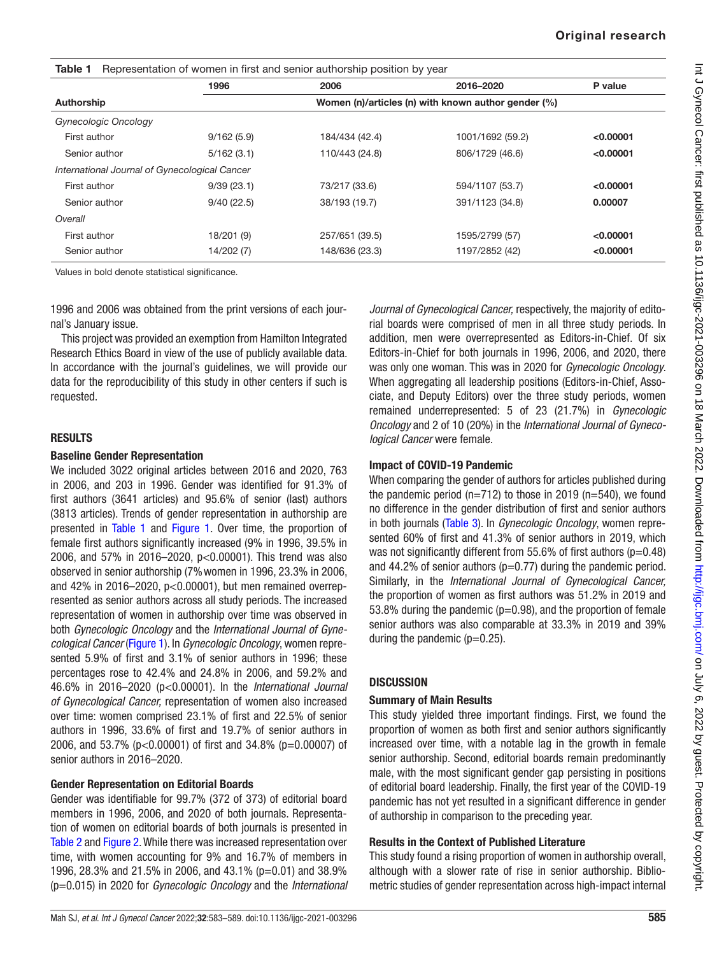<span id="page-2-0"></span>

| Representation of women in first and senior authorship position by year<br>Table 1 |                                                     |                |                  |           |  |  |  |  |
|------------------------------------------------------------------------------------|-----------------------------------------------------|----------------|------------------|-----------|--|--|--|--|
|                                                                                    | 1996                                                | 2006           | 2016-2020        | P value   |  |  |  |  |
| Authorship                                                                         | Women (n)/articles (n) with known author gender (%) |                |                  |           |  |  |  |  |
| Gynecologic Oncology                                                               |                                                     |                |                  |           |  |  |  |  |
| First author                                                                       | 9/162(5.9)                                          | 184/434 (42.4) | 1001/1692 (59.2) | < 0.00001 |  |  |  |  |
| Senior author                                                                      | 5/162(3.1)                                          | 110/443 (24.8) | 806/1729 (46.6)  | < 0.00001 |  |  |  |  |
| International Journal of Gynecological Cancer                                      |                                                     |                |                  |           |  |  |  |  |
| First author                                                                       | 9/39(23.1)                                          | 73/217 (33.6)  | 594/1107 (53.7)  | < 0.00001 |  |  |  |  |
| Senior author                                                                      | 9/40(22.5)                                          | 38/193 (19.7)  | 391/1123 (34.8)  | 0.00007   |  |  |  |  |
| Overall                                                                            |                                                     |                |                  |           |  |  |  |  |
| First author                                                                       | 18/201 (9)                                          | 257/651 (39.5) | 1595/2799 (57)   | < 0.00001 |  |  |  |  |
| Senior author                                                                      | 14/202 (7)                                          | 148/636 (23.3) | 1197/2852 (42)   | < 0.00001 |  |  |  |  |

Values in bold denote statistical significance.

1996 and 2006 was obtained from the print versions of each journal's January issue.

This project was provided an exemption from Hamilton Integrated Research Ethics Board in view of the use of publicly available data. In accordance with the journal's guidelines, we will provide our data for the reproducibility of this study in other centers if such is requested.

#### RESULTS

#### Baseline Gender Representation

We included 3022 original articles between 2016 and 2020, 763 in 2006, and 203 in 1996. Gender was identified for 91.3% of first authors (3641 articles) and 95.6% of senior (last) authors (3813 articles). Trends of gender representation in authorship are presented in [Table 1](#page-2-0) and [Figure 1.](#page-3-0) Over time, the proportion of female first authors significantly increased (9% in 1996, 39.5% in 2006, and 57% in 2016–2020, p<0.00001). This trend was also observed in senior authorship (7%women in 1996, 23.3% in 2006, and 42% in 2016–2020, p<0.00001), but men remained overrepresented as senior authors across all study periods. The increased representation of women in authorship over time was observed in both *Gynecologic Oncology* and the *International Journal of Gynecological Cancer* ([Figure 1\)](#page-3-0). In *Gynecologic Oncology*, women represented 5.9% of first and 3.1% of senior authors in 1996; these percentages rose to 42.4% and 24.8% in 2006, and 59.2% and 46.6% in 2016–2020 (p<0.00001). In the *International Journal of Gynecological Cancer,* representation of women also increased over time: women comprised 23.1% of first and 22.5% of senior authors in 1996, 33.6% of first and 19.7% of senior authors in 2006, and 53.7% (p<0.00001) of first and 34.8% (p=0.00007) of senior authors in 2016–2020.

#### Gender Representation on Editorial Boards

Gender was identifiable for 99.7% (372 of 373) of editorial board members in 1996, 2006, and 2020 of both journals. Representation of women on editorial boards of both journals is presented in [Table 2](#page-3-1) and [Figure 2](#page-4-0). While there was increased representation over time, with women accounting for 9% and 16.7% of members in 1996, 28.3% and 21.5% in 2006, and 43.1% (p=0.01) and 38.9% (p=0.015) in 2020 for *Gynecologic Oncology* and the *International*  *Journal of Gynecological Cancer,* respectively, the majority of editorial boards were comprised of men in all three study periods. In addition, men were overrepresented as Editors-in-Chief. Of six Editors-in-Chief for both journals in 1996, 2006, and 2020, there was only one woman. This was in 2020 for *Gynecologic Oncology*. When aggregating all leadership positions (Editors-in-Chief, Associate, and Deputy Editors) over the three study periods, women remained underrepresented: 5 of 23 (21.7%) in *Gynecologic Oncology* and 2 of 10 (20%) in the *International Journal of Gynecological Cancer* were female.

#### Impact of COVID-19 Pandemic

When comparing the gender of authors for articles published during the pandemic period ( $n=712$ ) to those in 2019 ( $n=540$ ), we found no difference in the gender distribution of first and senior authors in both journals [\(Table 3](#page-4-1)). In *Gynecologic Oncology*, women represented 60% of first and 41.3% of senior authors in 2019, which was not significantly different from 55.6% of first authors  $(p=0.48)$ and 44.2% of senior authors ( $p=0.77$ ) during the pandemic period. Similarly, in the *International Journal of Gynecological Cancer,* the proportion of women as first authors was 51.2% in 2019 and 53.8% during the pandemic ( $p=0.98$ ), and the proportion of female senior authors was also comparable at 33.3% in 2019 and 39% during the pandemic  $(p=0.25)$ .

#### **DISCUSSION**

#### Summary of Main Results

This study yielded three important findings. First, we found the proportion of women as both first and senior authors significantly increased over time, with a notable lag in the growth in female senior authorship. Second, editorial boards remain predominantly male, with the most significant gender gap persisting in positions of editorial board leadership. Finally, the first year of the COVID-19 pandemic has not yet resulted in a significant difference in gender of authorship in comparison to the preceding year.

#### Results in the Context of Published Literature

This study found a rising proportion of women in authorship overall, although with a slower rate of rise in senior authorship. Bibliometric studies of gender representation across high-impact internal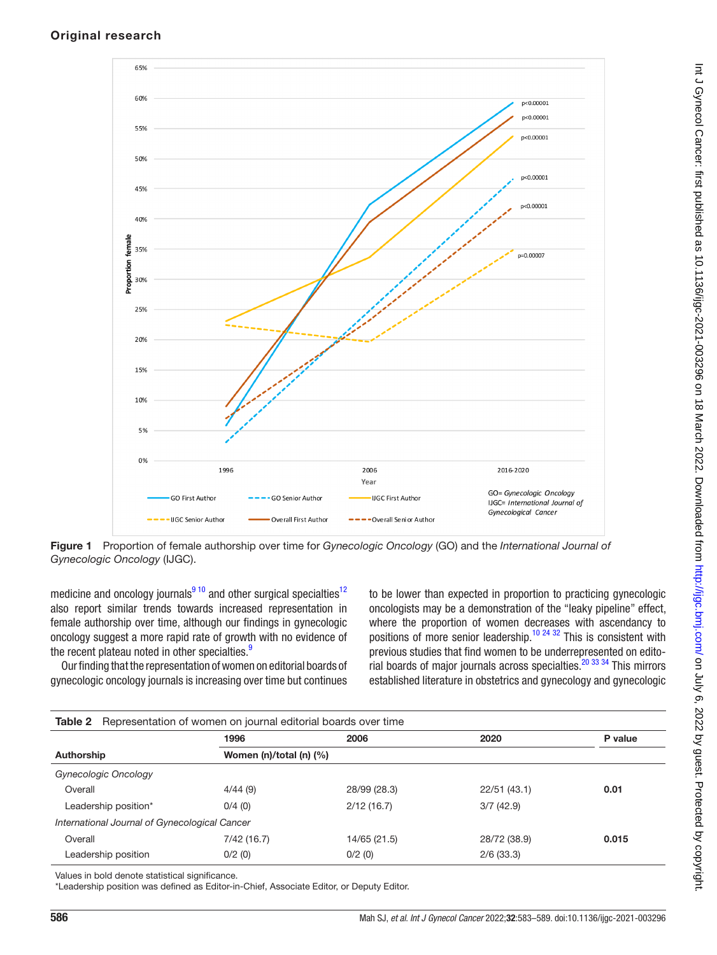

<span id="page-3-0"></span>Figure 1 Proportion of female authorship over time for *Gynecologic Oncology* (GO) and the *International Journal of Gynecologic Oncology* (IJGC).

medicine and oncology journals $910$  and other surgical specialties<sup>12</sup> also report similar trends towards increased representation in female authorship over time, although our findings in gynecologic oncology suggest a more rapid rate of growth with no evidence of the recent plateau noted in other specialties.<sup>[9](#page-6-2)</sup>

Our finding that the representation of women on editorial boards of gynecologic oncology journals is increasing over time but continues to be lower than expected in proportion to practicing gynecologic oncologists may be a demonstration of the "leaky pipeline" effect, where the proportion of women decreases with ascendancy to positions of more senior leadership.<sup>10 24</sup> <sup>32</sup> This is consistent with previous studies that find women to be underrepresented on editorial boards of major journals across specialties.<sup>20</sup> 33 34 This mirrors established literature in obstetrics and gynecology and gynecologic

<span id="page-3-1"></span>

| <b>Table 2</b> Representation of women on journal editorial boards over time |                            |              |              |         |  |  |
|------------------------------------------------------------------------------|----------------------------|--------------|--------------|---------|--|--|
|                                                                              | 1996                       | 2006         | 2020         | P value |  |  |
| Authorship                                                                   | Women (n)/total (n) $(\%)$ |              |              |         |  |  |
| <b>Gynecologic Oncology</b>                                                  |                            |              |              |         |  |  |
| Overall                                                                      | 4/44(9)                    | 28/99 (28.3) | 22/51(43.1)  | 0.01    |  |  |
| Leadership position*                                                         | 0/4(0)                     | 2/12(16.7)   | 3/7(42.9)    |         |  |  |
| International Journal of Gynecological Cancer                                |                            |              |              |         |  |  |
| Overall                                                                      | 7/42 (16.7)                | 14/65 (21.5) | 28/72 (38.9) | 0.015   |  |  |
| Leadership position                                                          | 0/2(0)                     | 0/2(0)       | 2/6(33.3)    |         |  |  |

Values in bold denote statistical significance.

\*Leadership position was defined as Editor-in-Chief, Associate Editor, or Deputy Editor.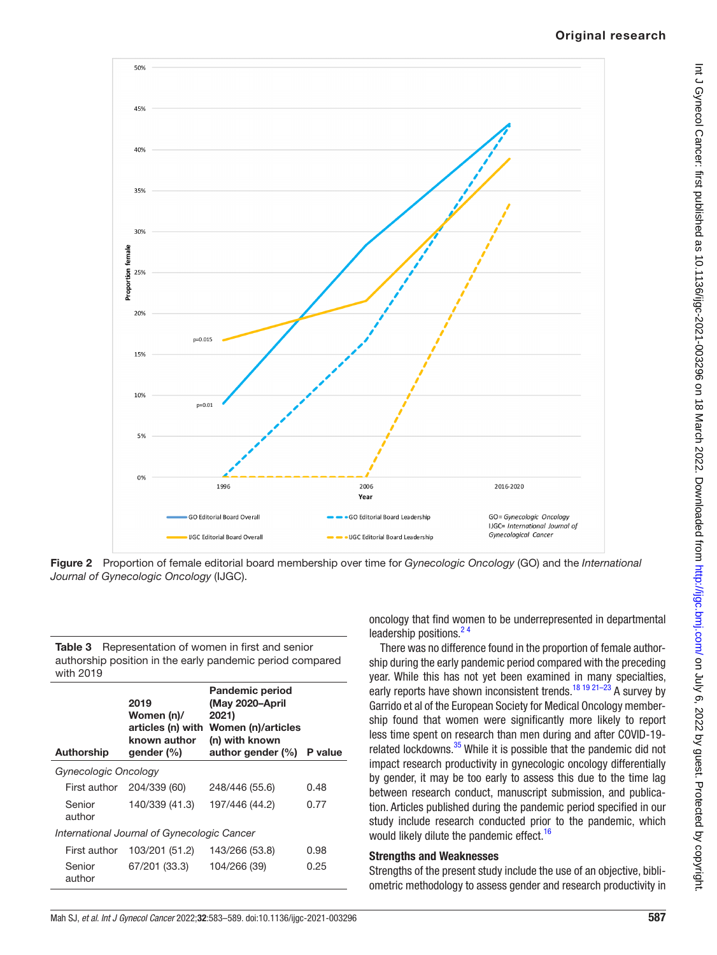## Original research



<span id="page-4-0"></span>Figure 2 Proportion of female editorial board membership over time for *Gynecologic Oncology* (GO) and the *International Journal of Gynecologic Oncology* (IJGC).

<span id="page-4-1"></span>Table 3 Representation of women in first and senior authorship position in the early pandemic period compared with 2019

|                                             | <b>Authorship</b> | 2019<br>Women (n)/<br>articles (n) with<br>known author<br>gender (%) | <b>Pandemic period</b><br>(May 2020-April<br>2021)<br>Women (n)/articles<br>(n) with known<br>author gender $(\%)$ | P value |  |  |  |
|---------------------------------------------|-------------------|-----------------------------------------------------------------------|--------------------------------------------------------------------------------------------------------------------|---------|--|--|--|
| Gynecologic Oncology                        |                   |                                                                       |                                                                                                                    |         |  |  |  |
|                                             | First author      | 204/339 (60)                                                          | 248/446 (55.6)                                                                                                     | 0.48    |  |  |  |
|                                             | Senior<br>author  | 140/339 (41.3)                                                        | 197/446 (44.2)                                                                                                     | 0.77    |  |  |  |
| International Journal of Gynecologic Cancer |                   |                                                                       |                                                                                                                    |         |  |  |  |
|                                             | First author      | 103/201 (51.2)                                                        | 143/266 (53.8)                                                                                                     | 0.98    |  |  |  |
|                                             | Senior<br>author  | 67/201 (33.3)                                                         | 104/266 (39)                                                                                                       | 0.25    |  |  |  |

oncology that find women to be underrepresented in departmental leadership positions.<sup>24</sup>

There was no difference found in the proportion of female authorship during the early pandemic period compared with the preceding year. While this has not yet been examined in many specialties, early reports have shown inconsistent trends.<sup>18 19 21–23</sup> A survey by Garrido et al of the European Society for Medical Oncology membership found that women were significantly more likely to report less time spent on research than men during and after COVID-19- related lockdowns.<sup>[35](#page-6-19)</sup> While it is possible that the pandemic did not impact research productivity in gynecologic oncology differentially by gender, it may be too early to assess this due to the time lag between research conduct, manuscript submission, and publication. Articles published during the pandemic period specified in our study include research conducted prior to the pandemic, which would likely dilute the pandemic effect.<sup>[16](#page-6-5)</sup>

#### Strengths and Weaknesses

Strengths of the present study include the use of an objective, bibliometric methodology to assess gender and research productivity in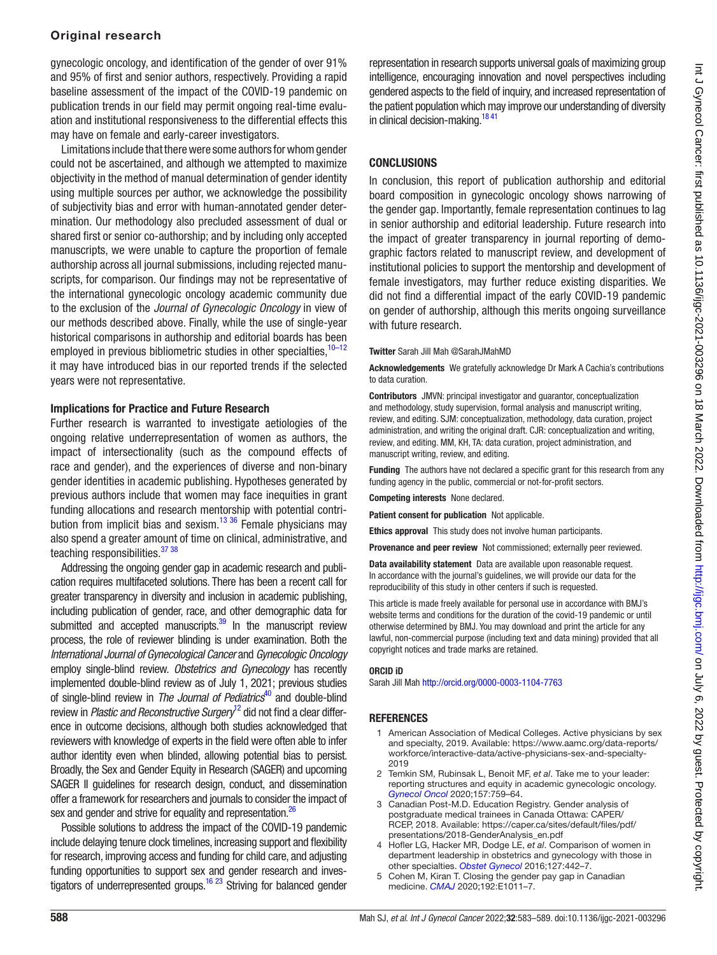#### Original research

gynecologic oncology, and identification of the gender of over 91% and 95% of first and senior authors, respectively. Providing a rapid baseline assessment of the impact of the COVID-19 pandemic on publication trends in our field may permit ongoing real-time evaluation and institutional responsiveness to the differential effects this may have on female and early-career investigators.

Limitations include that there were some authors for whom gender could not be ascertained, and although we attempted to maximize objectivity in the method of manual determination of gender identity using multiple sources per author, we acknowledge the possibility of subjectivity bias and error with human-annotated gender determination. Our methodology also precluded assessment of dual or shared first or senior co-authorship; and by including only accepted manuscripts, we were unable to capture the proportion of female authorship across all journal submissions, including rejected manuscripts, for comparison. Our findings may not be representative of the international gynecologic oncology academic community due to the exclusion of the *Journal of Gynecologic Oncology* in view of our methods described above. Finally, while the use of single-year historical comparisons in authorship and editorial boards has been employed in previous bibliometric studies in other specialties,  $10-12$ it may have introduced bias in our reported trends if the selected years were not representative.

#### Implications for Practice and Future Research

Further research is warranted to investigate aetiologies of the ongoing relative underrepresentation of women as authors, the impact of intersectionality (such as the compound effects of race and gender), and the experiences of diverse and non-binary gender identities in academic publishing. Hypotheses generated by previous authors include that women may face inequities in grant funding allocations and research mentorship with potential contri-bution from implicit bias and sexism.<sup>[13 36](#page-6-20)</sup> Female physicians may also spend a greater amount of time on clinical, administrative, and teaching responsibilities.<sup>37</sup> 38

Addressing the ongoing gender gap in academic research and publication requires multifaceted solutions. There has been a recent call for greater transparency in diversity and inclusion in academic publishing, including publication of gender, race, and other demographic data for submitted and accepted manuscripts. $39$  In the manuscript review process, the role of reviewer blinding is under examination. Both the *International Journal of Gynecological Cancer* and *Gynecologic Oncology* employ single-blind review. *Obstetrics and Gynecology* has recently implemented double-blind review as of July 1, 2021; previous studies of single-blind review in *The Journal of Pediatrics*[40](#page-6-23) and double-blind review in *Plastic and Reconstructive Surgery*[12](#page-6-17) did not find a clear difference in outcome decisions, although both studies acknowledged that reviewers with knowledge of experts in the field were often able to infer author identity even when blinded, allowing potential bias to persist. Broadly, the Sex and Gender Equity in Research (SAGER) and upcoming SAGER II guidelines for research design, conduct, and dissemination offer a framework for researchers and journals to consider the impact of sex and gender and strive for equality and representation.<sup>26</sup>

Possible solutions to address the impact of the COVID-19 pandemic include delaying tenure clock timelines, increasing support and flexibility for research, improving access and funding for child care, and adjusting funding opportunities to support sex and gender research and investigators of underrepresented groups.<sup>16 23</sup> Striving for balanced gender

representation in research supports universal goals of maximizing group intelligence, encouraging innovation and novel perspectives including gendered aspects to the field of inquiry, and increased representation of the patient population which may improve our understanding of diversity in clinical decision-making.<sup>18 41</sup>

### **CONCLUSIONS**

In conclusion, this report of publication authorship and editorial board composition in gynecologic oncology shows narrowing of the gender gap. Importantly, female representation continues to lag in senior authorship and editorial leadership. Future research into the impact of greater transparency in journal reporting of demographic factors related to manuscript review, and development of institutional policies to support the mentorship and development of female investigators, may further reduce existing disparities. We did not find a differential impact of the early COVID-19 pandemic on gender of authorship, although this merits ongoing surveillance with future research.

#### Twitter Sarah Jill Mah [@SarahJMahMD](https://twitter.com/SarahJMahMD)

Acknowledgements We gratefully acknowledge Dr Mark A Cachia's contributions to data curation.

Contributors JMVN: principal investigator and guarantor, conceptualization and methodology, study supervision, formal analysis and manuscript writing, review, and editing. SJM: conceptualization, methodology, data curation, project administration, and writing the original draft. CJR: conceptualization and writing, review, and editing. MM, KH, TA: data curation, project administration, and manuscript writing, review, and editing.

**Funding** The authors have not declared a specific grant for this research from any funding agency in the public, commercial or not-for-profit sectors.

Competing interests None declared.

Patient consent for publication Not applicable.

Ethics approval This study does not involve human participants.

Provenance and peer review Not commissioned; externally peer reviewed.

Data availability statement Data are available upon reasonable request. In accordance with the journal's guidelines, we will provide our data for the reproducibility of this study in other centers if such is requested.

This article is made freely available for personal use in accordance with BMJ's website terms and conditions for the duration of the covid-19 pandemic or until otherwise determined by BMJ. You may download and print the article for any lawful, non-commercial purpose (including text and data mining) provided that all copyright notices and trade marks are retained.

#### ORCID iD

Sarah Jill Mah<http://orcid.org/0000-0003-1104-7763>

#### **REFERENCES**

- <span id="page-5-0"></span>1 American Association of Medical Colleges. Active physicians by sex and specialty, 2019. Available: [https://www.aamc.org/data-reports/](https://www.aamc.org/data-reports/workforce/interactive-data/active-physicians-sex-and-specialty-2019) [workforce/interactive-data/active-physicians-sex-and-specialty-](https://www.aamc.org/data-reports/workforce/interactive-data/active-physicians-sex-and-specialty-2019)[2019](https://www.aamc.org/data-reports/workforce/interactive-data/active-physicians-sex-and-specialty-2019)
- <span id="page-5-1"></span>2 Temkin SM, Rubinsak L, Benoit MF, *et al*. Take me to your leader: reporting structures and equity in academic gynecologic oncology. *[Gynecol Oncol](http://dx.doi.org/10.1016/j.ygyno.2020.03.031)* 2020;157:759–64.
- <span id="page-5-2"></span>3 Canadian Post-M.D. Education Registry. Gender analysis of postgraduate medical trainees in Canada Ottawa: CAPER/ RCEP, 2018. Available: [https://caper.ca/sites/default/files/pdf/](https://caper.ca/sites/default/files/pdf/presentations/2018-GenderAnalysis_en.pdf) [presentations/2018-GenderAnalysis\\_en.pdf](https://caper.ca/sites/default/files/pdf/presentations/2018-GenderAnalysis_en.pdf)
- 4 Hofler LG, Hacker MR, Dodge LE, *et al*. Comparison of women in department leadership in obstetrics and gynecology with those in other specialties. *[Obstet Gynecol](http://dx.doi.org/10.1097/AOG.0000000000001290)* 2016;127:442–7.
- <span id="page-5-3"></span>5 Cohen M, Kiran T. Closing the gender pay gap in Canadian medicine. *[CMAJ](http://dx.doi.org/10.1503/cmaj.200375)* 2020;192:E1011–7.